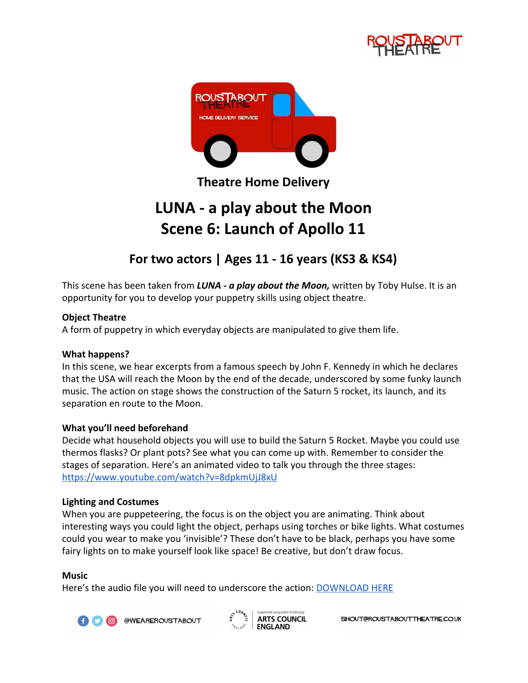



**Theatre Home Delivery**

# **LUNA - a play about the Moon Scene 6: Launch of Apollo 11**

## **For two actors | Ages 11 - 16 years (KS3 & KS4)**

This scene has been taken from *LUNA - a play about the Moon,* written by Toby Hulse. It is an opportunity for you to develop your puppetry skills using object theatre.

### **Object Theatre**

A form of puppetry in which everyday objects are manipulated to give them life.

#### **What happens?**

In this scene, we hear excerpts from a famous speech by John F. Kennedy in which he declares that the USA will reach the Moon by the end of the decade, underscored by some funky launch music. The action on stage shows the construction of the Saturn 5 rocket, its launch, and its separation en route to the Moon.

#### **What you'll need beforehand**

Decide what household objects you will use to build the Saturn 5 Rocket. Maybe you could use thermos flasks? Or plant pots? See what you can come up with. Remember to consider the stages of separation. Here's an animated video to talk you through the three stages: <https://www.youtube.com/watch?v=8dpkmUjJ8xU>

#### **Lighting and Costumes**

When you are puppeteering, the focus is on the object you are animating. Think about interesting ways you could light the object, perhaps using torches or bike lights. What costumes could you wear to make you 'invisible'? These don't have to be black, perhaps you have some fairy lights on to make yourself look like space! Be creative, but don't draw focus.

#### **Music**

Here's the audio file you will need to underscore the action: **[DOWNLOAD HERE](https://drive.google.com/open?id=1ydFH2zNMqvyxO465VQAp0hWVWK_MrOH1)** 



@WEAREROUSTABOUT

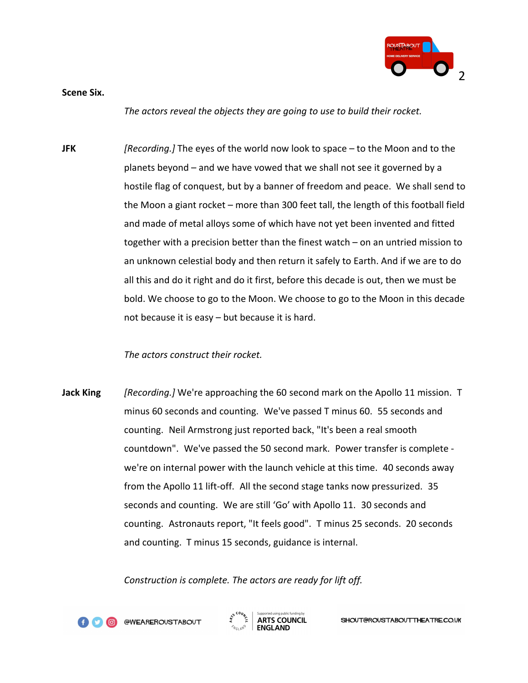

**Scene Six.**

*The actors reveal the objects they are going to use to build their rocket.*

**JFK** *[Recording.]* The eyes of the world now look to space – to the Moon and to the planets beyond – and we have vowed that we shall not see it governed by a hostile flag of conquest, but by a banner of freedom and peace. We shall send to the Moon a giant rocket – more than 300 feet tall, the length of this football field and made of metal alloys some of which have not yet been invented and fitted together with a precision better than the finest watch – on an untried mission to an unknown celestial body and then return it safely to Earth. And if we are to do all this and do it right and do it first, before this decade is out, then we must be bold. We choose to go to the Moon. We choose to go to the Moon in this decade not because it is easy – but because it is hard.

#### *The actors construct their rocket.*

**Jack King** *[Recording.]* We're approaching the 60 second mark on the Apollo 11 mission. T minus 60 seconds and counting. We've passed T minus 60. 55 seconds and counting. Neil Armstrong just reported back, "It's been a real smooth countdown". We've passed the 50 second mark. Power transfer is complete we're on internal power with the launch vehicle at this time. 40 seconds away from the Apollo 11 lift-off. All the second stage tanks now pressurized. 35 seconds and counting. We are still 'Go' with Apollo 11. 30 seconds and counting. Astronauts report, "It feels good". T minus 25 seconds. 20 seconds and counting. T minus 15 seconds, guidance is internal.

*Construction is complete. The actors are ready for lift off.*



@WEAREROUSTABOUT